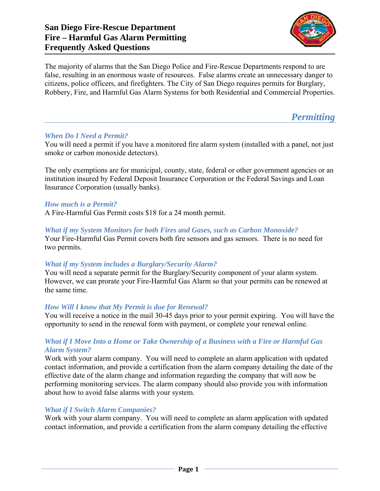## **San Diego Fire-Rescue Department Fire – Harmful Gas Alarm Permitting Frequently Asked Questions**



The majority of alarms that the San Diego Police and Fire-Rescue Departments respond to are false, resulting in an enormous waste of resources. False alarms create an unnecessary danger to citizens, police officers, and firefighters. The City of San Diego requires permits for Burglary, Robbery, Fire, and Harmful Gas Alarm Systems for both Residential and Commercial Properties.

*Permitting* 

## *When Do I Need a Permit?*

You will need a permit if you have a monitored fire alarm system (installed with a panel, not just smoke or carbon monoxide detectors).

The only exemptions are for municipal, county, state, federal or other government agencies or an institution insured by Federal Deposit Insurance Corporation or the Federal Savings and Loan Insurance Corporation (usually banks).

## *How much is a Permit?*

A Fire-Harmful Gas Permit costs \$18 for a 24 month permit.

#### *What if my System Monitors for both Fires and Gases, such as Carbon Monoxide?*

Your Fire-Harmful Gas Permit covers both fire sensors and gas sensors. There is no need for two permits.

## *What if my System includes a Burglary/Security Alarm?*

You will need a separate permit for the Burglary/Security component of your alarm system. However, we can prorate your Fire-Harmful Gas Alarm so that your permits can be renewed at the same time.

## *How Will I know that My Permit is due for Renewal?*

You will receive a notice in the mail 30-45 days prior to your permit expiring. You will have the opportunity to send in the renewal form with payment, or complete your renewal online.

## *What if I Move Into a Home or Take Ownership of a Business with a Fire or Harmful Gas Alarm System?*

Work with your alarm company. You will need to complete an alarm application with updated contact information, and provide a certification from the alarm company detailing the date of the effective date of the alarm change and information regarding the company that will now be performing monitoring services. The alarm company should also provide you with information about how to avoid false alarms with your system.

#### *What if I Switch Alarm Companies?*

Work with your alarm company. You will need to complete an alarm application with updated contact information, and provide a certification from the alarm company detailing the effective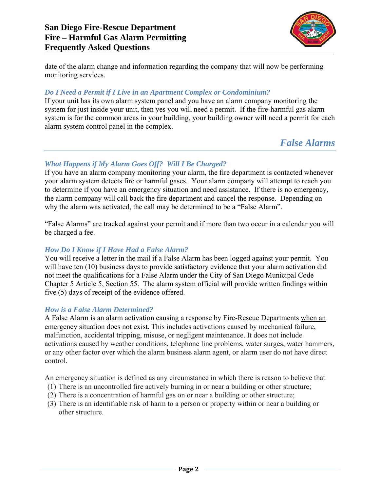

date of the alarm change and information regarding the company that will now be performing monitoring services.

## *Do I Need a Permit if I Live in an Apartment Complex or Condominium?*

If your unit has its own alarm system panel and you have an alarm company monitoring the system for just inside your unit, then yes you will need a permit. If the fire-harmful gas alarm system is for the common areas in your building, your building owner will need a permit for each alarm system control panel in the complex.

# *False Alarms*

#### *What Happens if My Alarm Goes Off? Will I Be Charged?*

If you have an alarm company monitoring your alarm, the fire department is contacted whenever your alarm system detects fire or harmful gases. Your alarm company will attempt to reach you to determine if you have an emergency situation and need assistance. If there is no emergency, the alarm company will call back the fire department and cancel the response. Depending on why the alarm was activated, the call may be determined to be a "False Alarm".

"False Alarms" are tracked against your permit and if more than two occur in a calendar you will be charged a fee.

## *How Do I Know if I Have Had a False Alarm?*

You will receive a letter in the mail if a False Alarm has been logged against your permit. You will have ten (10) business days to provide satisfactory evidence that your alarm activation did not meet the qualifications for a False Alarm under the City of San Diego Municipal Code Chapter 5 Article 5, Section 55. The alarm system official will provide written findings within five (5) days of receipt of the evidence offered.

#### *How is a False Alarm Determined?*

A False Alarm is an alarm activation causing a response by Fire-Rescue Departments when an emergency situation does not exist. This includes activations caused by mechanical failure, malfunction, accidental tripping, misuse, or negligent maintenance. It does not include activations caused by weather conditions, telephone line problems, water surges, water hammers, or any other factor over which the alarm business alarm agent, or alarm user do not have direct control.

An emergency situation is defined as any circumstance in which there is reason to believe that

- (1) There is an uncontrolled fire actively burning in or near a building or other structure;
- (2) There is a concentration of harmful gas on or near a building or other structure;
- (3) There is an identifiable risk of harm to a person or property within or near a building or other structure.